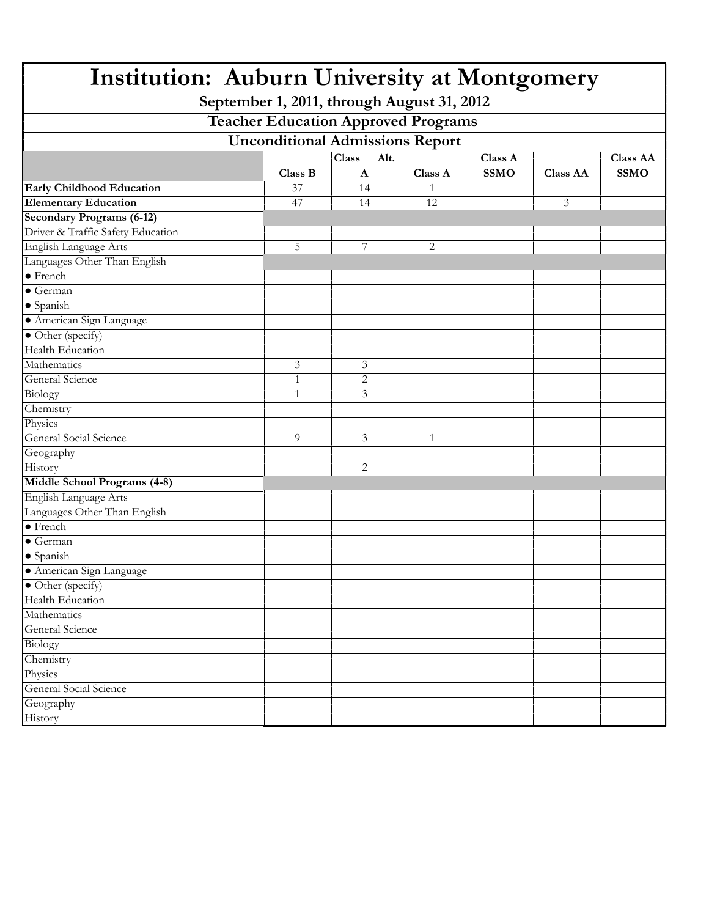